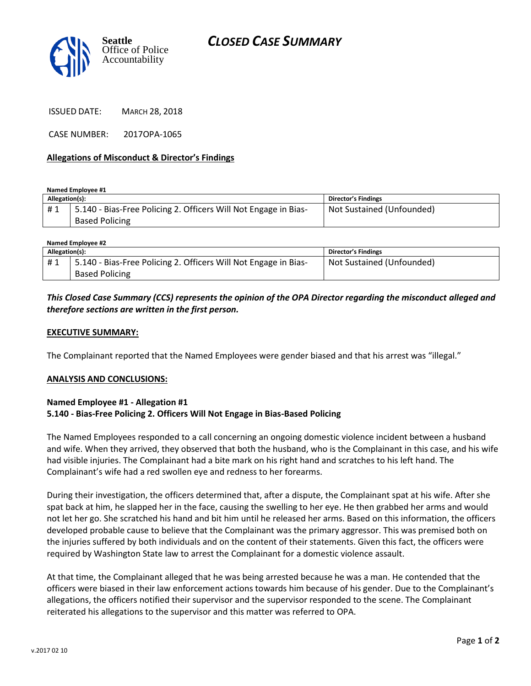



ISSUED DATE: MARCH 28, 2018

CASE NUMBER: 2017OPA-1065

#### **Allegations of Misconduct & Director's Findings**

**Named Employee #1**

| Allegation(s): |                                                                 | Director's Findings       |
|----------------|-----------------------------------------------------------------|---------------------------|
| #1             | 5.140 - Bias-Free Policing 2. Officers Will Not Engage in Bias- | Not Sustained (Unfounded) |
|                | <b>Based Policing</b>                                           |                           |

| Named Employee #2 |                                                                 |                            |  |
|-------------------|-----------------------------------------------------------------|----------------------------|--|
| Allegation(s):    |                                                                 | <b>Director's Findings</b> |  |
| #1                | 5.140 - Bias-Free Policing 2. Officers Will Not Engage in Bias- | Not Sustained (Unfounded)  |  |
|                   | <b>Based Policing</b>                                           |                            |  |

## *This Closed Case Summary (CCS) represents the opinion of the OPA Director regarding the misconduct alleged and therefore sections are written in the first person.*

#### **EXECUTIVE SUMMARY:**

The Complainant reported that the Named Employees were gender biased and that his arrest was "illegal."

#### **ANALYSIS AND CONCLUSIONS:**

#### **Named Employee #1 - Allegation #1 5.140 - Bias-Free Policing 2. Officers Will Not Engage in Bias-Based Policing**

The Named Employees responded to a call concerning an ongoing domestic violence incident between a husband and wife. When they arrived, they observed that both the husband, who is the Complainant in this case, and his wife had visible injuries. The Complainant had a bite mark on his right hand and scratches to his left hand. The Complainant's wife had a red swollen eye and redness to her forearms.

During their investigation, the officers determined that, after a dispute, the Complainant spat at his wife. After she spat back at him, he slapped her in the face, causing the swelling to her eye. He then grabbed her arms and would not let her go. She scratched his hand and bit him until he released her arms. Based on this information, the officers developed probable cause to believe that the Complainant was the primary aggressor. This was premised both on the injuries suffered by both individuals and on the content of their statements. Given this fact, the officers were required by Washington State law to arrest the Complainant for a domestic violence assault.

At that time, the Complainant alleged that he was being arrested because he was a man. He contended that the officers were biased in their law enforcement actions towards him because of his gender. Due to the Complainant's allegations, the officers notified their supervisor and the supervisor responded to the scene. The Complainant reiterated his allegations to the supervisor and this matter was referred to OPA.